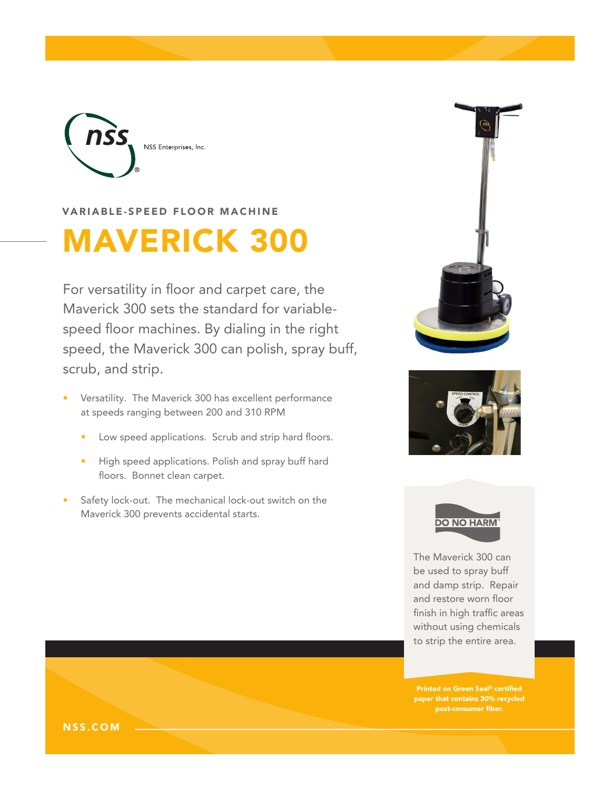

VARIABLE-SPEED FLOOR MACHINE

# MAVERICK 300

For versatility in floor and carpet care, the Maverick 300 sets the standard for variablespeed floor machines. By dialing in the right speed, the Maverick 300 can polish, spray buff, scrub, and strip.

- Versatility. The Maverick 300 has excellent performance at speeds ranging between 200 and 310 RPM
	- Low speed applications. Scrub and strip hard floors.
	- High speed applications. Polish and spray buff hard floors. Bonnet clean carpet.
- Safety lock-out. The mechanical lock-out switch on the Maverick 300 prevents accidental starts.







The Maverick 300 can be used to spray buff and damp strip. Repair and restore worn floor finish in high traffic areas without using chemicals to strip the entire area.

Printed on Green Seal® certified paper that contains 30% recycled post-consumer fiber.